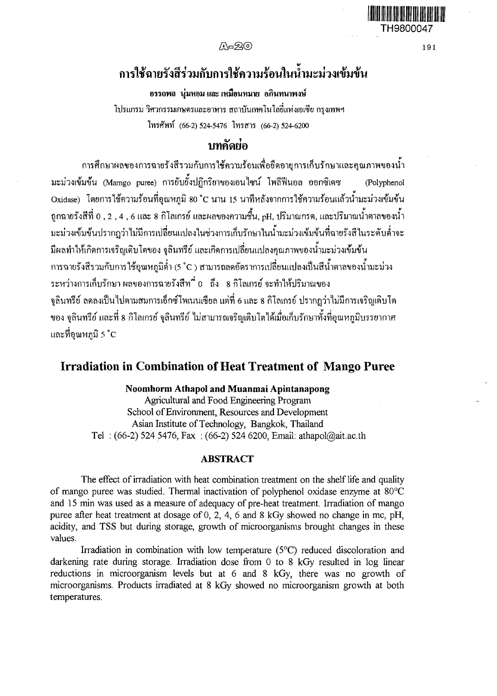$\Delta \approx 20$  191

# การใช้ฉายรังสีร่วมกับการใช้ความร้อนในน้ำมะม่วงเข้มข้น

# อรรถพล นุ่มหอม และ เหมือนหมาย อภินทนาพงษ์

โปรแกรม วิศวกรรมเกษตรและอาหาร สถาบันเฑคโนโดยี่แห่งเอเชีย กรุงเทพฯ โทรศัพท์ (66-2)524-5476 โทรสาร (66-2) 524-6200

# าเทคัดย่อ

การศึกษาผลของการฉายรังสีรวมกับการใช้ความร้อนเพื่อยืดอายุการเก็บรักษาและคุณภาพของนํ้า ้มะม่วงเข้มข้น (Mamgo puree) การยับยั้งปฏิกริยาของเอนไซน์ โพลีฟีนอล ออกซิเดซ (Polyphenol Oxidase) โดยการใช้ความร้อนที่อุณหภูมิ 80 °c นาน 15 นาทีหลังจากการใช้ความร้อนแล้วนามะม่วงเข้มข้น ถูกฉายรังสีที่ 0 , 2 , 4 , 6 และ 8 กิโลเกรย์ และผลของความชื้น, pH, ปริมาณกรด, และปริมาณ'นาตาลของ'นา มะม่วงเข้มข้นปรากฎว่าไม่มีการเปลี่ยนแปลงในช่วงการเก็บรักษาในiflมะม่วงเข้มข้นที่ฉายรังสีในระดับตํ่าจะ มีผลทำให้เกิดการเจริญเติบโตของ ชุลินทรีย์ และเกิดการเปลี่ยนแปลงคุณภาพของนํ้ามะม่วงเข้มข้น การฉายรังสีรวมกับการใช้อุณหภูมิตํ่า (5 'c ) สามารถลดอัตราการเปลี่ยนแปลงเป็นสีนํ้าตาลของนามะม่วง ระหว่างการเก็บรักษา ผลของการฉายรังสีท 'i 0 ถึง 8 กิโลเกรย์ จะทำให้ปริมาณของ ชุลินทรีย์ ลดลงเป็นไปตามสมการเอีกซ์โพเนนเซียล แต่ที่ 6 และ 8 กิโลเกรย์ ปรากฎว่าไม่มีการเจริญเติบโต ี ของ จลินทรีย์ และที่ 8 กิโลเกรย์ จลินทรีย์ ไม่สามารถเจริญเติบโตได้เมื่อเก็บรักษาทั้งที่อุณหภูมิบรรยากาศ และที่อุณหภูมิ 5 °c

# **Irradiation in Combination of Heat Treatment of Mango Puree**

## **Noomhorm Athapol and Muanmai Apintanapong**

**Agricultural and Food Engineering Program School of Environment, Resources and Development Asian Institute of Technology, Bangkok, Thailand Tel : (66-2) 524 5476, Fax : (66-2) 524 6200, Email: [athapol@ait.ac.th](mailto:athapol@ait.ac.th)**

# **ABSTRACT**

**The effect of irradiation with heat combination treatment on the shelf life and quality of mango puree was studied. Thermal inactivation of polyphenol oxidase enzyme at** 80°c **and 15 min was used as a measure of adequacy of pre-heat treatment. Irradiation of mango** puree after heat treatment at dosage of 0, 2, 4, 6 and 8 kGy showed no change in mc, pH, **acidity, and TSS but during storage, growth of microorganisms brought changes in these values.**

**Irradiation in combination with low temperature (5°C) reduced discoloration and darkening rate during storage. Irradiation dose from 0 to 8 kGy resulted in log linear reductions in microorganism levels but at 6 and 8 kGy, there was no growth of microorganisms. Products irradiated at 8 kGy showed no microorganism growth at both temperatures.**

**TH9800047**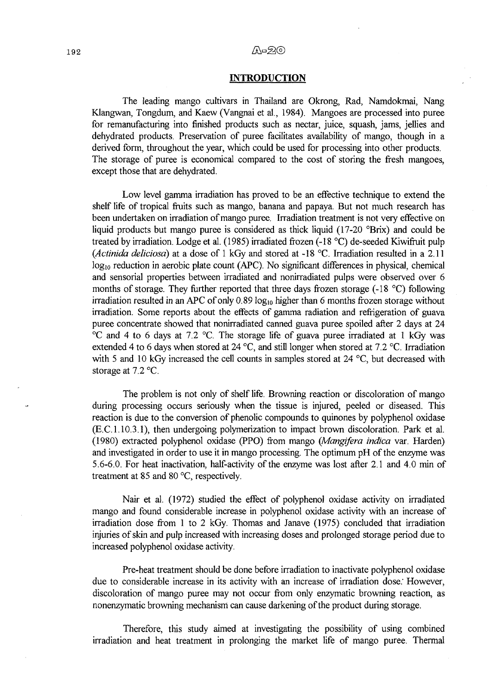#### A-20

#### **INTRODUCTION**

**The leading mango cultivars in Thailand are Okrong, Rad, Namdokmai, Nang** Klangwan, Tongdum, and Kaew (Vangnai et al., 1984). Mangoes are processed into puree **for remanufacturing into finished products such as nectar, juice, squash, jams, jellies and dehydrated products. Preservation of puree facilitates availability of mango, though in a derived form, throughout the year, which could be used for processing into other products.** The storage of puree is economical compared to the cost of storing the fresh mangoes, **except those that are dehydrated.**

**Low level gamma irradiation has proved to be an effective technique to extend the** shelf life of tropical fruits such as mango, banana and papaya. But not much research has been undertaken on irradiation of mango puree. Irradiation treatment is not very effective on **liquid products but mango puree is considered as thick liquid (17-20 °Brix) and could be** treated by irradiation. Lodge et al. (1985) irradiated frozen (-18 °C) de-seeded Kiwifruit pulp *(Actinida deliciosa)* **at a dose of 1 kGy and stored at -18 °c. Irradiation resulted in a 2.11 logio reduction in aerobic plate count (APC). No significant differences in physical, chemical and sensorial properties between irradiated and nonirradiated pulps were observed over 6** months of storage. They further reported that three days frozen storage (-18 °C) following **irradiation resulted in an APC of only 0.89 log<sub>10</sub> higher than 6 months frozen storage without** irradiation. Some reports about the effects of gamma radiation and refrigeration of guava **puree concentrate showed that nonirradiated canned guava puree spoiled after 2 days at 24 °c and 4 to 6 days at 7.2 °c. The storage life of guava puree irradiated at 1 kGy was extended 4 to 6 days when stored at 24 °c, and still longer when stored at 7.2 °c. Irradiation with 5 and 10 kGy increased the cell counts in samples stored at 24 °c, but decreased with storage at 7.2 °c.**

The problem is not only of shelf life. Browning reaction or discoloration of mango during processing occurs seriously when the tissue is injured, peeled or diseased. This **reaction is due to the conversion of phenolic compounds to quinones by polyphenol oxidase** (E.c. **1.10.3.1), then undergoing polymerization to impact brown discoloration. Park et ฟ. (1980) extracted polyphenol oxidase (PPO) from mango** *(Mangifera indica* **var. Harden)** and investigated in order to use it in mango processing. The optimum pH of the enzyme was **5.6-6.0. For heat inactivation, half-activity of the enzyme was lost after 2.1 and 4.0 min of treatment at 85 and 80 °c, respectively.**

Nair et al. (1972) studied the effect of polyphenol oxidase activity on irradiated **mango and found considerable increase in polyphenol oxidase activity with an increase of irradiation dose from 1 to 2 kGy. Thomas and Janave (1975) concluded that irradiation** injuries of skin and pulp increased with increasing doses and prolonged storage period due to **increased polyphenol oxidase activity.**

**Pre-heat treatment should be done before irradiation to inactivate polyphenol oxidase due to considerable increase in its activity with an increase of irradiation dose; However, discoloration of mango puree may not occur from only enzymatic browning reaction, as nonenzymatic browning mechanism can cause darkening of the product during storage.**

**Therefore, this study aimed at investigating the possibility of using combined** irradiation and heat treatment in prolonging the market life of mango puree. Thermal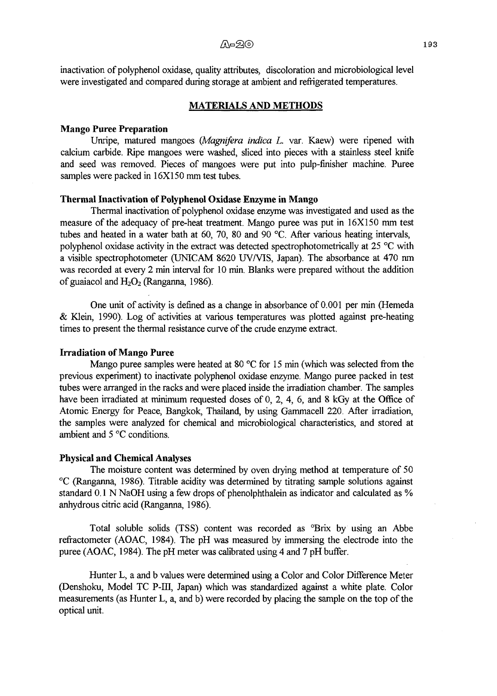inactivation of polyphenol oxidase, quality attributes, discoloration and microbiological level **were investigated and compared during storage at ambient and refrigerated temperatures.**

#### **MATERIALS AND METHODS**

#### **Mango Puree Preparation**

**Unripe, matured mangoes** *(Magnifera indica L.* **var. Kaew) were ripened with calcium carbide. Ripe mangoes were washed, sliced into pieces with a stainless steel knife** and seed was removed. Pieces of mangoes were put into pulp-finisher machine. Puree **samples were packed in 16X150 mm test tubes.**

## **Thermal Inactivation of Polyphenol Oxidase Enzyme in Mango**

**Thermal inactivation of polyphenol oxidase enzyme was investigated and used as the** measure of the adequacy of pre-heat treatment. Mango puree was put in 16X150 mm test tubes and heated in a water bath at 60, 70, 80 and 90 °C. After various heating intervals, polyphenol oxidase activity in the extract was detected spectrophotometrically at 25 °C with **a visible spectrophotometer (UNICAM 8620 UV/VIS, Japan). The absorbance at 470 nm was recorded at every 2 min interval for 10 min. Blanks were prepared without the addition** of guaiacol and  $H_2O_2$  (Ranganna, 1986).

One unit of activity is defined as a change in absorbance of 0.001 per min (Hemeda & Klein, 1990). Log of activities at various temperatures was plotted against pre-heating times to present the thermal resistance curve of the crude enzyme extract.

#### **Irradiation of Mango Puree**

**Mango puree samples were heated at 80 °C for 15 min (which was selected from the previous experiment) to inactivate polyphenol oxidase enzyme. Mango puree packed in test tubes were arranged in the racks and W'ere placed inside the irradiation chamber. The samples** have been irradiated at minimum requested doses of 0, 2, 4, 6, and 8 kGy at the Office of **Atomic Energy for Peace, Bangkok, Thailand, by using Gammacell 220. After irradiation, the samples were analyzed for chemical and microbiological characteristics, and stored at** ambient and 5 °C conditions.

#### **Physical and Chemical Analyses**

The moisture content was determined by oven drying method at temperature of 50 **๐c (Ranganna, 1986). Titrable acidity was determined by titrating sample solutions against standard 0.1 N NaOH using a few drops of phenolphthalein as indicator and calculated as % anhydrous citric acid (Ranganna, 1986).**

**Total soluble solids (TSS) content was recorded as °Brix by using an Abbe refractometer (AOAC, 1984). The pH was measured by immersing the electrode into the puree (AOAC, 1984). The pH meter was calibrated using 4 and 7 pH buffer.**

**Hunter L, a and b values were determined using a Color and Color Difference Meter (Denshoku, Model TC P-III, Japan) which was standardized against a white plate. Color** measurements (as Hunter L, a, and b) were recorded by placing the sample on the top of the **optical unit.**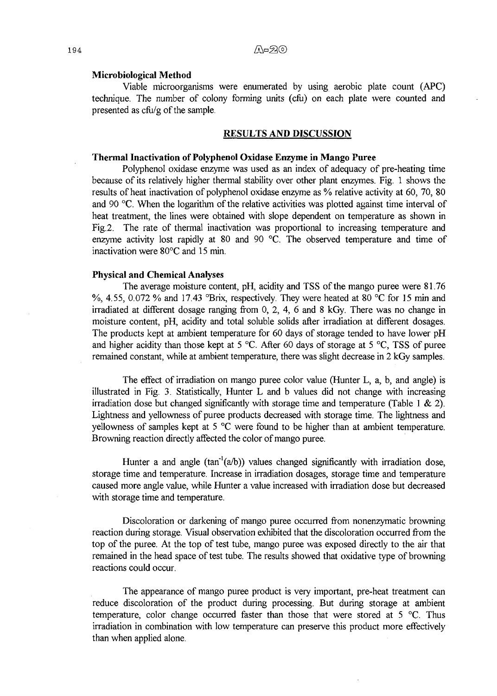#### **Microbiological Method**

**Viable microorganisms were enumerated by using aerobic plate count (APC) technique. The number of colony forming units (cfu) on each plate were counted and presented as cfu/g of the sample.**

## **RESULTS AND DISCUSSION**

#### **Thermal Inactivation of Polyphenol Oxidase Enzyme in Mango Puree**

Polyphenol oxidase enzyme was used as an index of adequacy of pre-heating time **because of its relatively higher thermal stability over other plant enzymes. Fig. 1 shows the results of heat inactivation of polyphenol oxidase enzyme as % relative activity at 60, 70, 80** and 90 °C. When the logarithm of the relative activities was plotted against time interval of **heat treatment, the lines were obtained with slope dependent on temperature as shown in Fig.2. The rate of thermal inactivation was proportional to increasing temperature and** enzyme activity lost rapidly at 80 and 90 °C. The observed temperature and time of **inactivation were 80°c and 15 min.**

# **Physical and Chemical Analyses**

**The average moisture content, pH, acidity and TSS of the mango puree were 81.76** %, 4.55, 0.072 % and 17.43 °Brix, respectively. They were heated at 80 °C for 15 min and **irradiated at different dosage ranging from 0, 2, 4, 6 and 8 kGy. There was no change in moisture content, pH, acidity and total soluble solids after irradiation at different dosages. The products kept at ambient temperature for 60 days of storage tended to have lower pH** and higher acidity than those kept at 5 °C. After 60 days of storage at 5 °C, TSS of puree **remained constant, while at ambient temperature, there was slight decrease in 2 kGy samples.**

**The effect of irradiation on mango puree color value (Hunter L, a, b, and angle) is illustrated in Fig. 3. Statistically, Hunter L and b values did not change with increasing irradiation dose but changed significantly with storage time and temperature (Table 1 & 2). Lightness and yellowness of puree products decreased with storage time. The lightness and** yellowness of samples kept at 5 °C were found to be higher than at ambient temperature. **Browning reaction directly affected the color of mango puree.**

**Hunter a and angle (tan'l(a/b)) values changed significantly with irradiation dose, storage time and temperature. Increase in irradiation dosages, storage time and temperature caused more angle value, while Hunter a value increased with irradiation dose but decreased with storage time and temperature.**

**Discoloration or darkening of mango puree occurred from nonenzymatic browning reaction during storage. Visual observation exhibited that the discoloration occurred from the** top of the puree. At the top of test tube, mango puree was exposed directly to the air that remained in the head space of test tube. The results showed that oxidative type of browning **reactions could occur.**

**The appearance of mango puree product is very important, pre-heat treatment can reduce discoloration of the product during processing. But during storage at ambient temperature, color change occurred faster than those that were stored** *at* **5 °c. Thus irradiation in combination with low temperature can preserve this product more effectively than when applied alone.**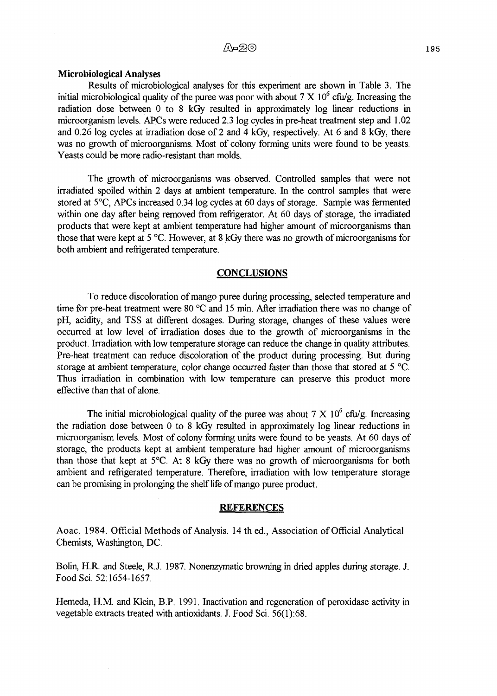#### **Microbiological Analyses**

Results of microbiological analyses for this experiment are shown in Table 3. The initial microbiological quality of the puree was poor with about  $7 \times 10^6$  cfu/g. Increasing the **radiation dose between 0 to 8 kGy resulted in approximately log linear reductions in microorganism levels. APCs were reduced 2.3 log cycles in pre-heat treatment step and 1.02** and 0.26 log cycles at irradiation dose of 2 and 4 kGy, respectively. At 6 and 8 kGy, there **was no growth of microorganisms. Most of colony forming units were found to be yeasts. Yeasts could be more radio-resistant than molds.**

The growth of microorganisms was observed. Controlled samples that were not **irradiated spoiled within 2 days at ambient temperature. In the control samples that were stored at 5°c, APCs increased 0.34 log cycles at 60 days of storage. Sample was fermented within one day after being removed from refrigerator. At 60 days of storage, the irradiated** products that were kept at ambient temperature had higher amount of microorganisms than those that were kept at 5 °C. However, at 8 kGy there was no growth of microorganisms for **both ambient and refrigerated temperature.**

## **CONCLUSIONS**

To reduce discoloration of mango puree during processing, selected temperature and time for pre-heat treatment were 80 °C and 15 min. After irradiation there was no change of pH, acidity, and TSS at different dosages. During storage, changes of these values were occurred at low level of irradiation doses due to the growth of microorganisms in the **product. Irradiation with low temperature storage can reduce the change in quality attributes. Pre-heat treatment can reduce discoloration of the product during processing. But during storage at ambient temperature, color change occurred faster than those that stored at 5 ๐c. Thus irradiation in combination with low temperature can preserve this product more effective than that of done.**

**The initial microbiological quality of the puree was about 7 X 106 cfu/g. Increasing the radiation dose between 0 to 8 kGy resulted in approximately log linear reductions in microorganism levels. Most of colony forming units were found to be yeasts. At 60 days of** storage, the products kept at ambient temperature had higher amount of microorganisms **than those that kept at 5°c. At 8 kGy there was no growth o f microorganisms for both ambient and refrigerated temperature. Therefore, irradiation with low temperature storage** can be promising in prolonging the shelf life of mango puree product.

#### **REFERENCES**

Aoac. 1984. Official Methods of Analysis. 14 th ed., Association of Official Analytical **Chemists, Washington, DC.**

**Bolin, H R. and Steele, R.J. 1987. Nonenzymatic browning in dried apples during storage. J. Food Sci. 52:1654-1657.**

Hemeda, H.M. and Klein, B.P. 1991. Inactivation and regeneration of peroxidase activity in **vegetable extracts treated with antioxidants. J. Food Sci. 56(1):68.**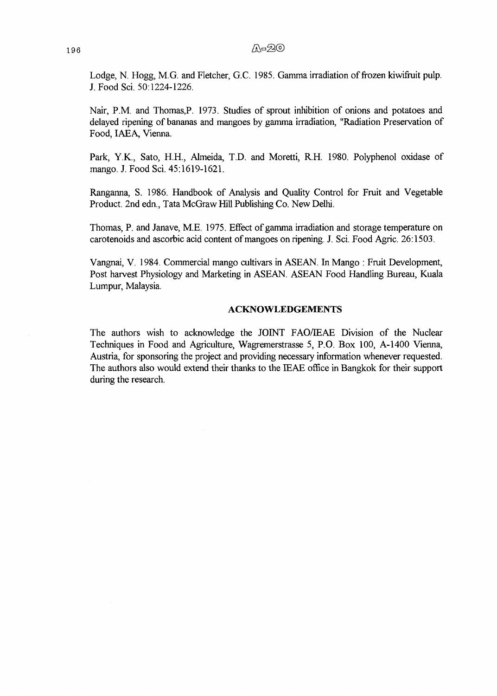Lodge, N. Hogg, M.G. and Fletcher, G.C. 1985. Gamma irradiation of frozen kiwifruit pulp. **J. Food Sci. 50:1224-1226.**

Nair, P.M. and Thomas, P. 1973. Studies of sprout inhibition of onions and potatoes and delayed ripening of bananas and mangoes by gamma irradiation, "Radiation Preservation of **Food, IAEA, Vienna.**

**Park, Y.K., Sato, H.H., Almeida, T.D. and Moretti, R.H. 1980. Polyphenol oxidase of mango. J. Food Sci. 45:1619-1621.**

Ranganna, S. 1986. Handbook of Analysis and Quality Control for Fruit and Vegetable **Product. 2nd edn., Tata McGraw Hill Publishing Co. New Delhi.**

Thomas, P. and Janave, M.E. 1975. Effect of gamma irradiation and storage temperature on **carotenoids and ascorbic acid content of mangoes on ripening. J. Sci. Food Agric. 26:1503.**

**Vangnai, V. 1984. Commercial mango cultivars in ASEAN. In Mango : Fruit Development, Post harvest Physiology and Marketing in ASEAN. ASEAN Food Handling Bureau, Kuala Lumpur, Malaysia.**

#### **ACKNOWLEDGEMENTS**

The authors wish to acknowledge the JOINT FAO/IEAE Division of the Nuclear **Techniques in Food and Agriculture, Wagremerstrasse 5, P.O. Box 100, A-1400 Vienna, Austria, for sponsoring the project and providing necessary information whenever requested. The authors also would extend their thanks to the IEAE office in Bangkok for their support during the research.**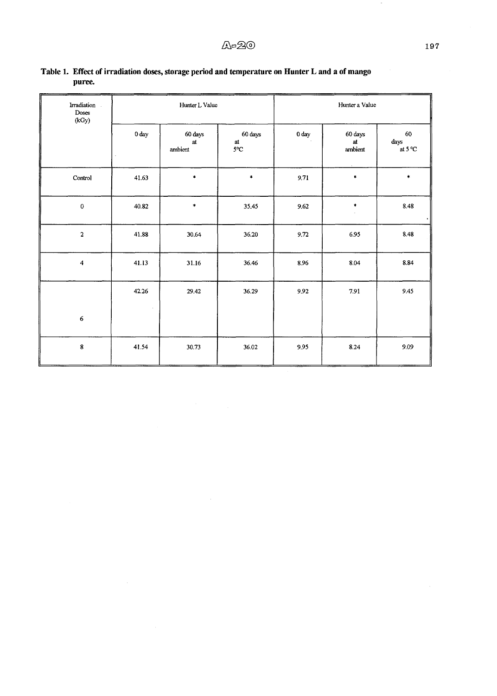| Irradiation.<br>Doses<br>(kGy) | Hunter L Value                |                          |                                                          | Hunter a Value   |                                          |                             |
|--------------------------------|-------------------------------|--------------------------|----------------------------------------------------------|------------------|------------------------------------------|-----------------------------|
|                                | $0\:\mathrm{day}$             | 60 days<br>at<br>ambient | 60 days<br>$\operatorname{\mathsf{at}}$<br>$5^{\circ}$ C | 0 <sub>day</sub> | 60 days<br>at<br>ambient<br>$\mathbf{r}$ | 60<br>$\rm days$<br>at 5 °C |
| Control                        | 41.63                         | $\star$                  | $\ddot{\bullet}$                                         | 9.71             | $\pmb{\ast}$                             | $\star$                     |
| $\pmb{0}$                      | 40.82                         | $\ddagger$               | 35.45                                                    | 9.62             | $\ddot{\phantom{a}}$                     | 8.48                        |
| $\mathbf 2$                    | 41.88                         | 30.64                    | 36.20                                                    | 9.72             | 6.95                                     | 8.48                        |
| 4                              | 41.13                         | 31.16                    | 36.46                                                    | 8.96             | 8.04                                     | 8.84                        |
|                                | 42.26<br>$\ddot{\phantom{0}}$ | 29.42                    | 36.29                                                    | 9.92             | 7.91                                     | 9.45                        |
| $\boldsymbol{6}$               |                               |                          |                                                          |                  |                                          | $\sim$                      |
| $\pmb{8}$                      | 41.54                         | 30.73                    | 36.02                                                    | 9.95             | 8.24                                     | 9.09                        |

 $\sim 10^6$ 

# **Table 1. Effect of irradiation doses, storage period and temperature on Hunter L and a of mango puree.**

 $\sim$ 

 $\overline{\phantom{a}}$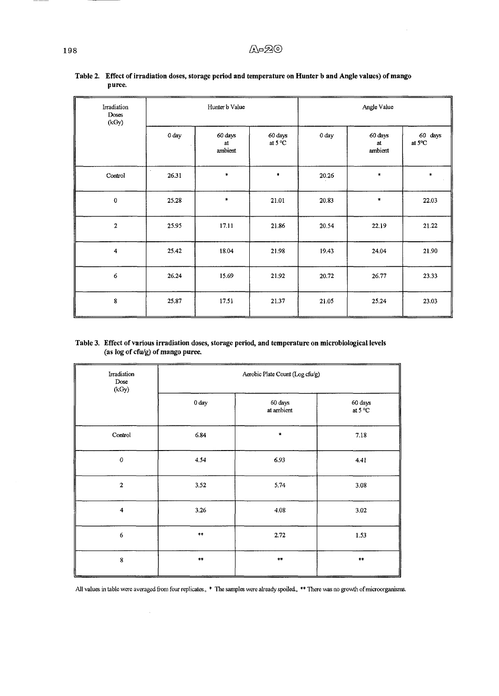$\overline{a}$ 

| Irradiation<br>Doses<br>(kGy) | Hunter b Value |                          |                             | Angle Value |                          |                   |
|-------------------------------|----------------|--------------------------|-----------------------------|-------------|--------------------------|-------------------|
|                               | 0 day          | 60 days<br>at<br>ambient | 60 days<br>at $5^{\circ}$ C | 0 day       | 60 days<br>at<br>ambient | 60 days<br>at 5°C |
| Control                       | 26.31          | $\ast$                   | ۰                           | 20.26       | $\ast$                   | $\ast$            |
| $\pmb{0}$                     | 25.28          | $\ast$                   | 21.01                       | 20.83       | $\pmb{\ast}$             | 22.03             |
| 2                             | 25.95          | 17.11                    | 21.86                       | 20.54       | 22.19                    | 21.22             |
| $\overline{4}$                | 25.42          | 18.04                    | 21.98                       | 19.43       | 24.04                    | 21.90             |
| 6                             | 26.24          | 15.69                    | 21.92                       | 20.72       | 26.77                    | 23.33             |
| 8                             | 25.87          | 17.51                    | 21.37                       | 21.05       | 25.24                    | 23.03             |

Table 2. Effect of irradiation doses, storage period and temperature on Hunter b and Angle values) of mango puree.

#### Table 3. Effect of various irradiation doses, storage period, and temperature on microbiological levels (as log of cfu/g) of mango puree.

| Irradiation<br>Dose<br>(kGy) | Aerobic Plate Count (Log cfu/g) |                       |                             |  |  |
|------------------------------|---------------------------------|-----------------------|-----------------------------|--|--|
|                              | 0 day                           | 60 days<br>at ambient | 60 days<br>at $5^{\circ}$ C |  |  |
| Control                      | 6.84                            | $\star$               | 7.18                        |  |  |
| $\pmb{\mathcal{O}}$          | 4.54                            | 6.93                  | 4.41                        |  |  |
| $\overline{a}$               | 3.52                            | 5.74                  | 3.08                        |  |  |
| $\overline{\mathbf{4}}$      | 3.26                            | 4.08                  | 3.02                        |  |  |
| $\boldsymbol{6}$             | $\star\star$                    | 2.72                  | 1.53                        |  |  |
| $\pmb{8}$                    | $\star\star$                    | $\star\star$          | $\star\star$                |  |  |

All values in table were averaged from four replicates., \* The samples were already spoiled., \*\* There was no growth of microorganisms.

 $\hat{\boldsymbol{\beta}}$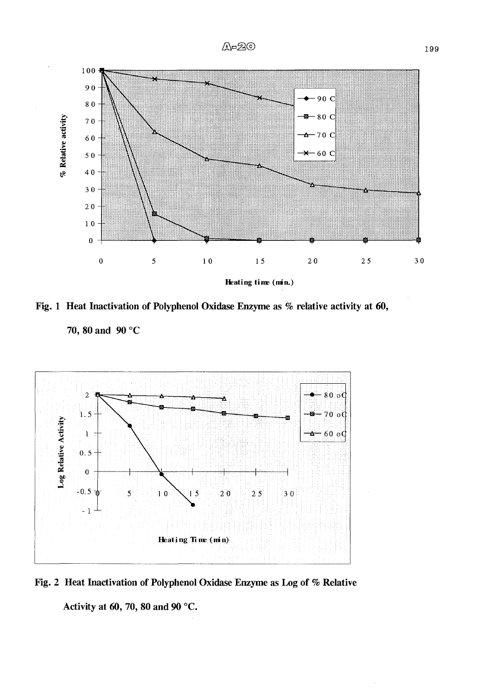

**Fig. 1 Heat Inactivation of Polyphenol Oxidase Enzyme as % relative activity at 60,**

**70, 80 and 90 °c**





Activity at 60, 70, 80 and 90 °C.